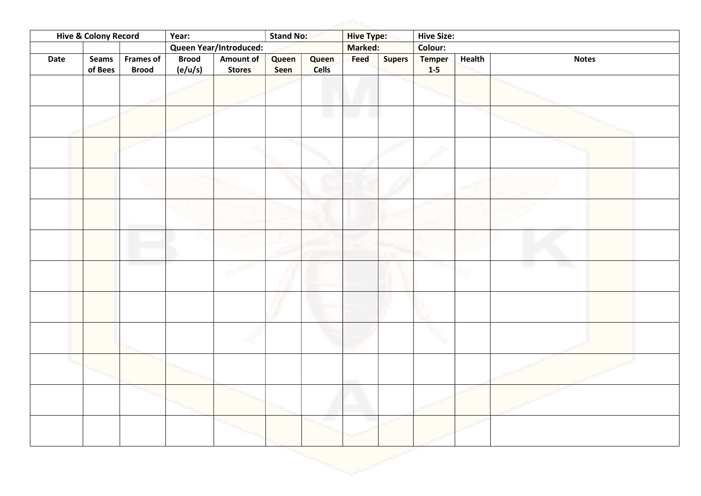| <b>Hive &amp; Colony Record</b> |                  |                                  | Year:                   |                            | Stand No:     |                       | <b>Hive Type:</b> |               | <b>Hive Size:</b>      |        |              |
|---------------------------------|------------------|----------------------------------|-------------------------|----------------------------|---------------|-----------------------|-------------------|---------------|------------------------|--------|--------------|
|                                 |                  |                                  | Queen Year/Introduced:  |                            |               |                       | Marked:           |               | Colour:                |        |              |
| <b>Date</b>                     | Seams<br>of Bees | <b>Frames of</b><br><b>Brood</b> | <b>Brood</b><br>(e/u/s) | Amount of<br><b>Stores</b> | Queen<br>Seen | Queen<br><b>Cells</b> | Feed              | <b>Supers</b> | <b>Temper</b><br>$1-5$ | Health | <b>Notes</b> |
|                                 |                  |                                  |                         |                            |               |                       |                   |               |                        |        |              |
|                                 |                  |                                  |                         |                            |               | L.                    |                   |               |                        |        |              |
|                                 |                  |                                  |                         |                            |               |                       |                   |               |                        |        |              |
|                                 |                  |                                  |                         |                            |               |                       |                   |               |                        |        |              |
|                                 |                  |                                  |                         |                            |               |                       |                   |               |                        |        |              |
|                                 |                  |                                  |                         |                            |               |                       |                   |               |                        |        |              |
|                                 |                  |                                  |                         |                            |               |                       |                   |               |                        |        | - 3          |
|                                 |                  |                                  |                         |                            |               |                       |                   |               |                        |        |              |
|                                 |                  |                                  |                         |                            |               |                       |                   |               |                        |        |              |
|                                 |                  |                                  |                         |                            |               |                       |                   |               |                        |        |              |
|                                 |                  |                                  |                         |                            |               |                       |                   |               |                        |        |              |
|                                 |                  |                                  |                         |                            |               |                       |                   |               |                        |        |              |